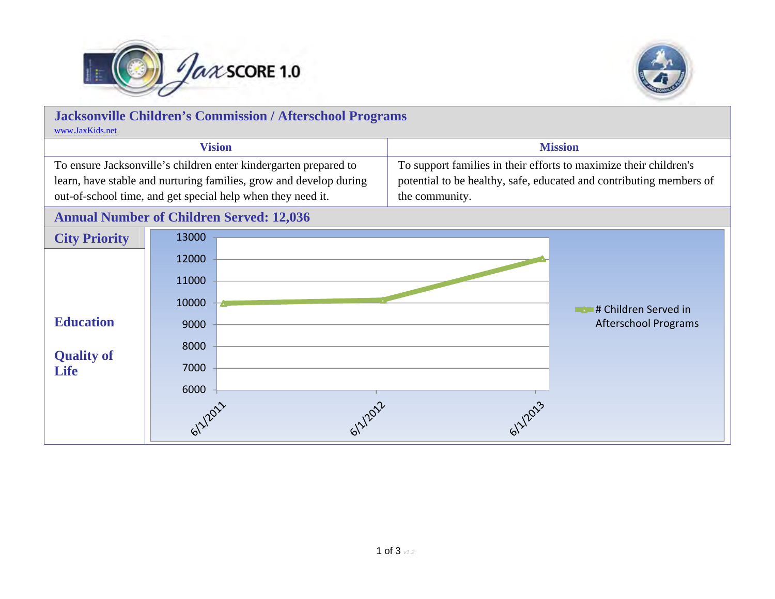



| <b>Jacksonville Children's Commission / Afterschool Programs</b>   |         |                                                                     |  |
|--------------------------------------------------------------------|---------|---------------------------------------------------------------------|--|
| www.JaxKids.net                                                    |         |                                                                     |  |
| <b>Vision</b>                                                      |         | <b>Mission</b>                                                      |  |
| To ensure Jacksonville's children enter kindergarten prepared to   |         | To support families in their efforts to maximize their children's   |  |
| learn, have stable and nurturing families, grow and develop during |         | potential to be healthy, safe, educated and contributing members of |  |
| out-of-school time, and get special help when they need it.        |         | the community.                                                      |  |
| <b>Annual Number of Children Served: 12,036</b>                    |         |                                                                     |  |
| <b>City Priority</b>                                               | 13000   |                                                                     |  |
|                                                                    | 12000   |                                                                     |  |
|                                                                    | 11000   |                                                                     |  |
|                                                                    | 10000   | <b># Children Served in</b><br><b>The Co</b>                        |  |
| <b>Education</b>                                                   | 9000    | <b>Afterschool Programs</b>                                         |  |
|                                                                    | 8000    |                                                                     |  |
| <b>Quality of</b><br><b>Life</b>                                   | 7000    |                                                                     |  |
|                                                                    | 6000    |                                                                     |  |
|                                                                    |         |                                                                     |  |
|                                                                    | 11/2021 |                                                                     |  |
|                                                                    |         |                                                                     |  |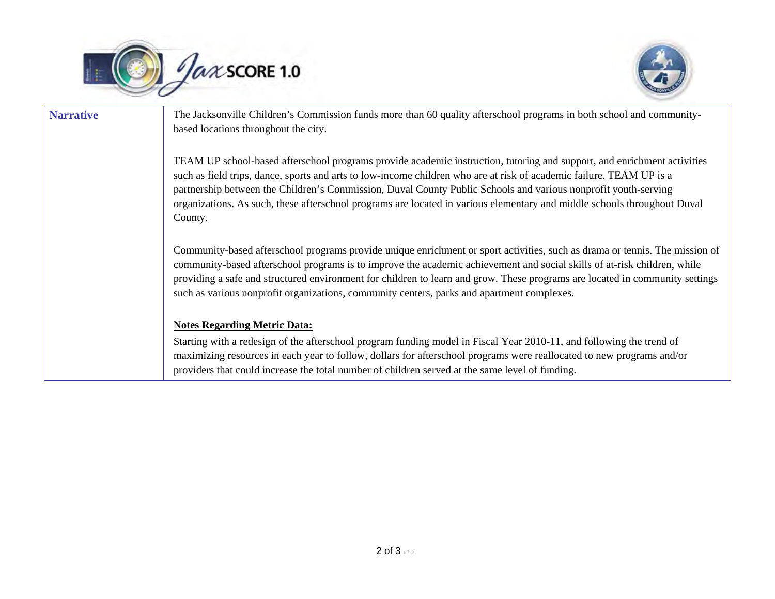



| <b>Narrative</b> | The Jacksonville Children's Commission funds more than 60 quality afterschool programs in both school and community-<br>based locations throughout the city.                                                                                                                                                                                                                                                                                                                                             |  |
|------------------|----------------------------------------------------------------------------------------------------------------------------------------------------------------------------------------------------------------------------------------------------------------------------------------------------------------------------------------------------------------------------------------------------------------------------------------------------------------------------------------------------------|--|
|                  | TEAM UP school-based afterschool programs provide academic instruction, tutoring and support, and enrichment activities<br>such as field trips, dance, sports and arts to low-income children who are at risk of academic failure. TEAM UP is a<br>partnership between the Children's Commission, Duval County Public Schools and various nonprofit youth-serving<br>organizations. As such, these afterschool programs are located in various elementary and middle schools throughout Duval<br>County. |  |
|                  | Community-based afterschool programs provide unique enrichment or sport activities, such as drama or tennis. The mission of<br>community-based afterschool programs is to improve the academic achievement and social skills of at-risk children, while<br>providing a safe and structured environment for children to learn and grow. These programs are located in community settings<br>such as various nonprofit organizations, community centers, parks and apartment complexes.                    |  |
|                  | <b>Notes Regarding Metric Data:</b><br>Starting with a redesign of the afterschool program funding model in Fiscal Year 2010-11, and following the trend of<br>maximizing resources in each year to follow, dollars for afterschool programs were reallocated to new programs and/or<br>providers that could increase the total number of children served at the same level of funding.                                                                                                                  |  |